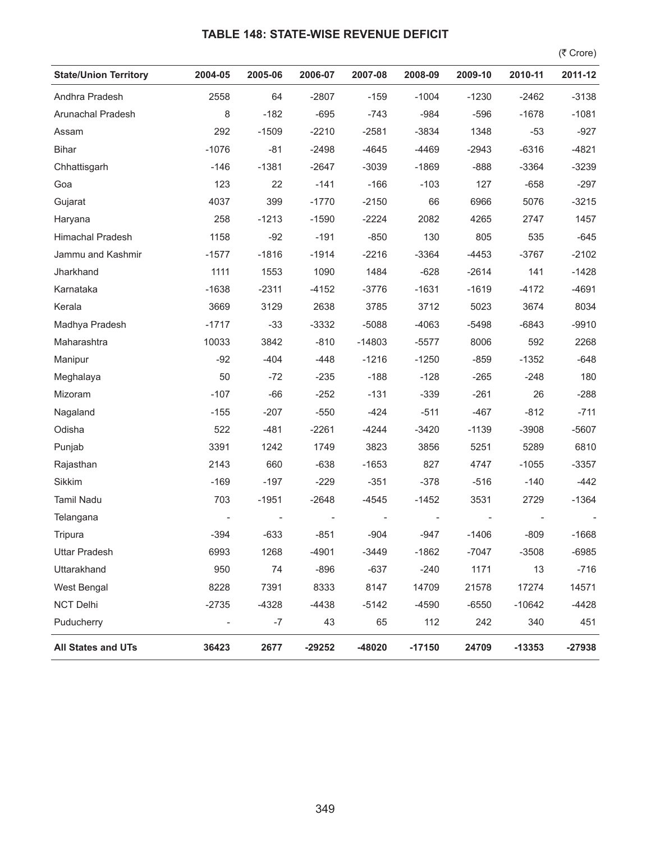## **TABLE 148: STATE-WISE REVENUE DEFICIT**

 $($ ₹ Crore)

| <b>State/Union Territory</b> | 2004-05                  | 2005-06 | 2006-07  | 2007-08  | 2008-09  | 2009-10 | 2010-11  | 2011-12  |
|------------------------------|--------------------------|---------|----------|----------|----------|---------|----------|----------|
| Andhra Pradesh               | 2558                     | 64      | $-2807$  | $-159$   | $-1004$  | $-1230$ | $-2462$  | $-3138$  |
| Arunachal Pradesh            | 8                        | $-182$  | $-695$   | $-743$   | $-984$   | $-596$  | $-1678$  | $-1081$  |
| Assam                        | 292                      | $-1509$ | $-2210$  | $-2581$  | $-3834$  | 1348    | $-53$    | $-927$   |
| <b>Bihar</b>                 | $-1076$                  | $-81$   | $-2498$  | $-4645$  | $-4469$  | $-2943$ | $-6316$  | $-4821$  |
| Chhattisgarh                 | $-146$                   | $-1381$ | $-2647$  | $-3039$  | $-1869$  | $-888$  | $-3364$  | $-3239$  |
| Goa                          | 123                      | 22      | $-141$   | $-166$   | $-103$   | 127     | $-658$   | $-297$   |
| Gujarat                      | 4037                     | 399     | $-1770$  | $-2150$  | 66       | 6966    | 5076     | $-3215$  |
| Haryana                      | 258                      | $-1213$ | $-1590$  | $-2224$  | 2082     | 4265    | 2747     | 1457     |
| Himachal Pradesh             | 1158                     | $-92$   | $-191$   | $-850$   | 130      | 805     | 535      | $-645$   |
| Jammu and Kashmir            | $-1577$                  | $-1816$ | $-1914$  | $-2216$  | $-3364$  | $-4453$ | $-3767$  | $-2102$  |
| Jharkhand                    | 1111                     | 1553    | 1090     | 1484     | $-628$   | $-2614$ | 141      | $-1428$  |
| Karnataka                    | $-1638$                  | $-2311$ | $-4152$  | $-3776$  | $-1631$  | $-1619$ | $-4172$  | $-4691$  |
| Kerala                       | 3669                     | 3129    | 2638     | 3785     | 3712     | 5023    | 3674     | 8034     |
| Madhya Pradesh               | $-1717$                  | $-33$   | $-3332$  | $-5088$  | $-4063$  | $-5498$ | $-6843$  | $-9910$  |
| Maharashtra                  | 10033                    | 3842    | $-810$   | $-14803$ | $-5577$  | 8006    | 592      | 2268     |
| Manipur                      | $-92$                    | $-404$  | $-448$   | $-1216$  | $-1250$  | $-859$  | $-1352$  | $-648$   |
| Meghalaya                    | 50                       | $-72$   | $-235$   | $-188$   | $-128$   | $-265$  | $-248$   | 180      |
| Mizoram                      | $-107$                   | $-66$   | $-252$   | $-131$   | $-339$   | $-261$  | 26       | $-288$   |
| Nagaland                     | $-155$                   | $-207$  | $-550$   | $-424$   | $-511$   | $-467$  | $-812$   | $-711$   |
| Odisha                       | 522                      | $-481$  | $-2261$  | $-4244$  | $-3420$  | $-1139$ | $-3908$  | $-5607$  |
| Punjab                       | 3391                     | 1242    | 1749     | 3823     | 3856     | 5251    | 5289     | 6810     |
| Rajasthan                    | 2143                     | 660     | $-638$   | $-1653$  | 827      | 4747    | $-1055$  | $-3357$  |
| Sikkim                       | $-169$                   | $-197$  | $-229$   | $-351$   | $-378$   | $-516$  | $-140$   | $-442$   |
| <b>Tamil Nadu</b>            | 703                      | $-1951$ | $-2648$  | $-4545$  | $-1452$  | 3531    | 2729     | $-1364$  |
| Telangana                    |                          |         |          |          |          |         |          |          |
| Tripura                      | $-394$                   | $-633$  | $-851$   | $-904$   | $-947$   | $-1406$ | $-809$   | $-1668$  |
| <b>Uttar Pradesh</b>         | 6993                     | 1268    | -4901    | $-3449$  | $-1862$  | -7047   | $-3508$  | $-6985$  |
| Uttarakhand                  | 950                      | 74      | $-896$   | $-637$   | $-240$   | 1171    | 13       | $-716$   |
| West Bengal                  | 8228                     | 7391    | 8333     | 8147     | 14709    | 21578   | 17274    | 14571    |
| <b>NCT Delhi</b>             | $-2735$                  | $-4328$ | $-4438$  | $-5142$  | $-4590$  | $-6550$ | $-10642$ | $-4428$  |
| Puducherry                   | $\overline{\phantom{a}}$ | $-7$    | 43       | 65       | 112      | 242     | 340      | 451      |
| All States and UTs           | 36423                    | 2677    | $-29252$ | -48020   | $-17150$ | 24709   | $-13353$ | $-27938$ |